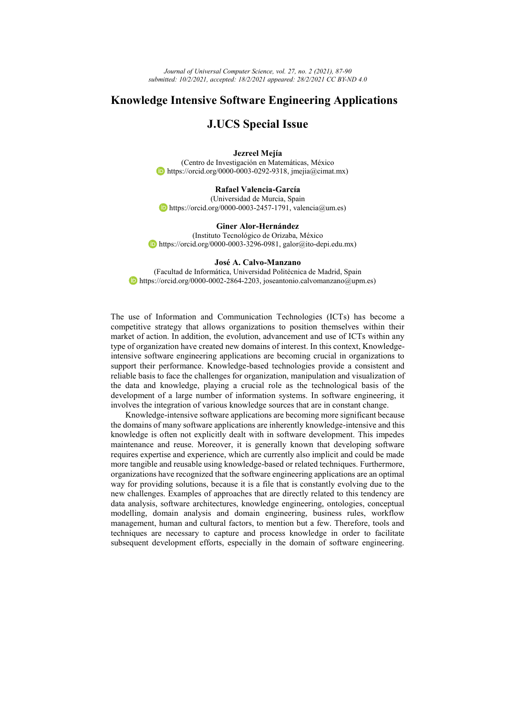*Journal of Universal Computer Science, vol. 27, no. 2 (2021), 87-90 submitted: 10/2/2021, accepted: 18/2/2021 appeared: 28/2/2021 CC BY-ND 4.0*

## **Knowledge Intensive Software Engineering Applications**

## **J.UCS Special Issue**

## **Jezreel Mejía**

(Centro de Investigación en Matemáticas, México https://orcid.org/0000-0003-0292-9318, jmejia@cimat.mx)

**Rafael Valencia-García** (Universidad de Murcia, Spain  $\bullet$  https://orcid.org/0000-0003-2457-1791, valencia@um.es)

**Giner Alor-Hernández**

(Instituto Tecnológico de Orizaba, México https://orcid.org/0000-0003-3296-0981, galor@ito-depi.edu.mx)

## **José A. Calvo-Manzano**

(Facultad de Informática, Universidad Politécnica de Madrid, Spain https://orcid.org/0000-0002-2864-2203, joseantonio.calvomanzano@upm.es)

The use of Information and Communication Technologies (ICTs) has become a competitive strategy that allows organizations to position themselves within their market of action. In addition, the evolution, advancement and use of ICTs within any type of organization have created new domains of interest. In this context, Knowledgeintensive software engineering applications are becoming crucial in organizations to support their performance. Knowledge-based technologies provide a consistent and reliable basis to face the challenges for organization, manipulation and visualization of the data and knowledge, playing a crucial role as the technological basis of the development of a large number of information systems. In software engineering, it involves the integration of various knowledge sources that are in constant change.

Knowledge-intensive software applications are becoming more significant because the domains of many software applications are inherently knowledge-intensive and this knowledge is often not explicitly dealt with in software development. This impedes maintenance and reuse. Moreover, it is generally known that developing software requires expertise and experience, which are currently also implicit and could be made more tangible and reusable using knowledge-based or related techniques. Furthermore, organizations have recognized that the software engineering applications are an optimal way for providing solutions, because it is a file that is constantly evolving due to the new challenges. Examples of approaches that are directly related to this tendency are data analysis, software architectures, knowledge engineering, ontologies, conceptual modelling, domain analysis and domain engineering, business rules, workflow management, human and cultural factors, to mention but a few. Therefore, tools and techniques are necessary to capture and process knowledge in order to facilitate subsequent development efforts, especially in the domain of software engineering.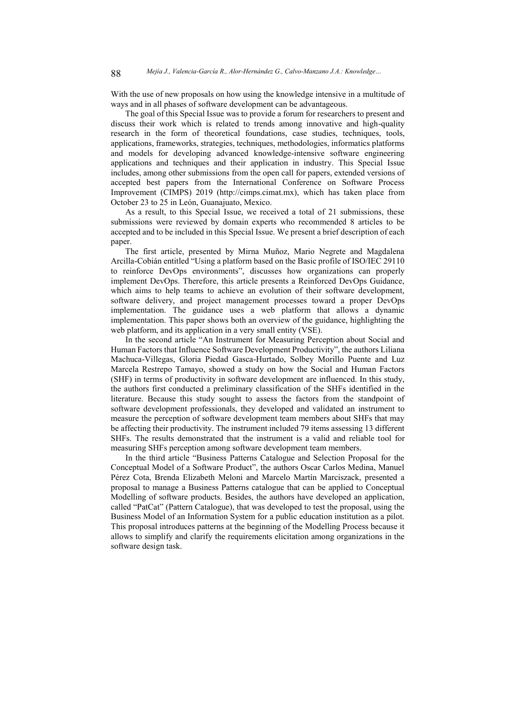With the use of new proposals on how using the knowledge intensive in a multitude of ways and in all phases of software development can be advantageous.

The goal of this Special Issue was to provide a forum for researchers to present and discuss their work which is related to trends among innovative and high-quality research in the form of theoretical foundations, case studies, techniques, tools, applications, frameworks, strategies, techniques, methodologies, informatics platforms and models for developing advanced knowledge-intensive software engineering applications and techniques and their application in industry. This Special Issue includes, among other submissions from the open call for papers, extended versions of accepted best papers from the International Conference on Software Process Improvement (CIMPS) 2019 (http://cimps.cimat.mx), which has taken place from October 23 to 25 in León, Guanajuato, Mexico.

As a result, to this Special Issue, we received a total of 21 submissions, these submissions were reviewed by domain experts who recommended 8 articles to be accepted and to be included in this Special Issue. We present a brief description of each paper.

The first article, presented by Mirna Muñoz, Mario Negrete and Magdalena Arcilla-Cobián entitled "Using a platform based on the Basic profile of ISO/IEC 29110 to reinforce DevOps environments", discusses how organizations can properly implement DevOps. Therefore, this article presents a Reinforced DevOps Guidance, which aims to help teams to achieve an evolution of their software development, software delivery, and project management processes toward a proper DevOps implementation. The guidance uses a web platform that allows a dynamic implementation. This paper shows both an overview of the guidance, highlighting the web platform, and its application in a very small entity (VSE).

In the second article "An Instrument for Measuring Perception about Social and Human Factors that Influence Software Development Productivity", the authors Liliana Machuca-Villegas, Gloria Piedad Gasca-Hurtado, Solbey Morillo Puente and Luz Marcela Restrepo Tamayo, showed a study on how the Social and Human Factors (SHF) in terms of productivity in software development are influenced. In this study, the authors first conducted a preliminary classification of the SHFs identified in the literature. Because this study sought to assess the factors from the standpoint of software development professionals, they developed and validated an instrument to measure the perception of software development team members about SHFs that may be affecting their productivity. The instrument included 79 items assessing 13 different SHFs. The results demonstrated that the instrument is a valid and reliable tool for measuring SHFs perception among software development team members.

In the third article "Business Patterns Catalogue and Selection Proposal for the Conceptual Model of a Software Product", the authors Oscar Carlos Medina, Manuel Pérez Cota, Brenda Elizabeth Meloni and Marcelo Martín Marciszack, presented a proposal to manage a Business Patterns catalogue that can be applied to Conceptual Modelling of software products. Besides, the authors have developed an application, called "PatCat" (Pattern Catalogue), that was developed to test the proposal, using the Business Model of an Information System for a public education institution as a pilot. This proposal introduces patterns at the beginning of the Modelling Process because it allows to simplify and clarify the requirements elicitation among organizations in the software design task.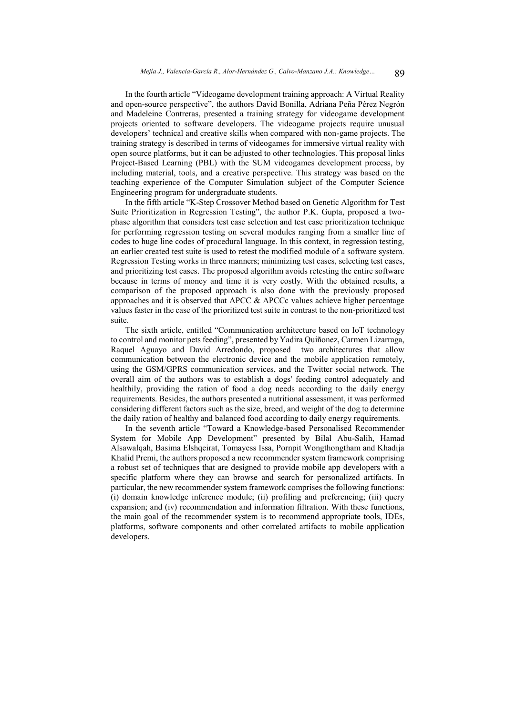In the fourth article "Videogame development training approach: A Virtual Reality and open-source perspective", the authors David Bonilla, Adriana Peña Pérez Negrón and Madeleine Contreras, presented a training strategy for videogame development projects oriented to software developers. The videogame projects require unusual developers' technical and creative skills when compared with non-game projects. The training strategy is described in terms of videogames for immersive virtual reality with open source platforms, but it can be adjusted to other technologies. This proposal links Project-Based Learning (PBL) with the SUM videogames development process, by including material, tools, and a creative perspective. This strategy was based on the teaching experience of the Computer Simulation subject of the Computer Science Engineering program for undergraduate students.

In the fifth article "K-Step Crossover Method based on Genetic Algorithm for Test Suite Prioritization in Regression Testing", the author P.K. Gupta, proposed a twophase algorithm that considers test case selection and test case prioritization technique for performing regression testing on several modules ranging from a smaller line of codes to huge line codes of procedural language. In this context, in regression testing, an earlier created test suite is used to retest the modified module of a software system. Regression Testing works in three manners; minimizing test cases, selecting test cases, and prioritizing test cases. The proposed algorithm avoids retesting the entire software because in terms of money and time it is very costly. With the obtained results, a comparison of the proposed approach is also done with the previously proposed approaches and it is observed that APCC  $\&$  APCCc values achieve higher percentage values faster in the case of the prioritized test suite in contrast to the non-prioritized test suite.

The sixth article, entitled "Communication architecture based on IoT technology to control and monitor pets feeding", presented by Yadira Quiñonez, Carmen Lizarraga, Raquel Aguayo and David Arredondo, proposed two architectures that allow communication between the electronic device and the mobile application remotely, using the GSM/GPRS communication services, and the Twitter social network. The overall aim of the authors was to establish a dogs' feeding control adequately and healthily, providing the ration of food a dog needs according to the daily energy requirements. Besides, the authors presented a nutritional assessment, it was performed considering different factors such as the size, breed, and weight of the dog to determine the daily ration of healthy and balanced food according to daily energy requirements.

In the seventh article "Toward a Knowledge-based Personalised Recommender System for Mobile App Development" presented by Bilal Abu-Salih, Hamad Alsawalqah, Basima Elshqeirat, Tomayess Issa, Pornpit Wongthongtham and Khadija Khalid Premi, the authors proposed a new recommender system framework comprising a robust set of techniques that are designed to provide mobile app developers with a specific platform where they can browse and search for personalized artifacts. In particular, the new recommender system framework comprises the following functions: (i) domain knowledge inference module; (ii) profiling and preferencing; (iii) query expansion; and (iv) recommendation and information filtration. With these functions, the main goal of the recommender system is to recommend appropriate tools, IDEs, platforms, software components and other correlated artifacts to mobile application developers.